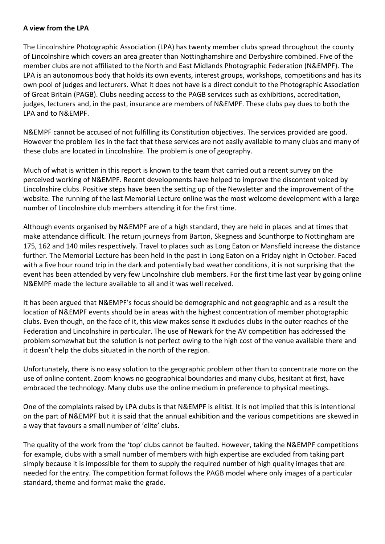## **A view from the LPA**

The Lincolnshire Photographic Association (LPA) has twenty member clubs spread throughout the county of Lincolnshire which covers an area greater than Nottinghamshire and Derbyshire combined. Five of the member clubs are not affiliated to the North and East Midlands Photographic Federation (N&EMPF). The LPA is an autonomous body that holds its own events, interest groups, workshops, competitions and has its own pool of judges and lecturers. What it does not have is a direct conduit to the Photographic Association of Great Britain (PAGB). Clubs needing access to the PAGB services such as exhibitions, accreditation, judges, lecturers and, in the past, insurance are members of N&EMPF. These clubs pay dues to both the LPA and to N&EMPF.

N&EMPF cannot be accused of not fulfilling its Constitution objectives. The services provided are good. However the problem lies in the fact that these services are not easily available to many clubs and many of these clubs are located in Lincolnshire. The problem is one of geography.

Much of what is written in this report is known to the team that carried out a recent survey on the perceived working of N&EMPF. Recent developments have helped to improve the discontent voiced by Lincolnshire clubs. Positive steps have been the setting up of the Newsletter and the improvement of the website. The running of the last Memorial Lecture online was the most welcome development with a large number of Lincolnshire club members attending it for the first time.

Although events organised by N&EMPF are of a high standard, they are held in places and at times that make attendance difficult. The return journeys from Barton, Skegness and Scunthorpe to Nottingham are 175, 162 and 140 miles respectively. Travel to places such as Long Eaton or Mansfield increase the distance further. The Memorial Lecture has been held in the past in Long Eaton on a Friday night in October. Faced with a five hour round trip in the dark and potentially bad weather conditions, it is not surprising that the event has been attended by very few Lincolnshire club members. For the first time last year by going online N&EMPF made the lecture available to all and it was well received.

It has been argued that N&EMPF's focus should be demographic and not geographic and as a result the location of N&EMPF events should be in areas with the highest concentration of member photographic clubs. Even though, on the face of it, this view makes sense it excludes clubs in the outer reaches of the Federation and Lincolnshire in particular. The use of Newark for the AV competition has addressed the problem somewhat but the solution is not perfect owing to the high cost of the venue available there and it doesn't help the clubs situated in the north of the region.

Unfortunately, there is no easy solution to the geographic problem other than to concentrate more on the use of online content. Zoom knows no geographical boundaries and many clubs, hesitant at first, have embraced the technology. Many clubs use the online medium in preference to physical meetings.

One of the complaints raised by LPA clubs is that N&EMPF is elitist. It is not implied that this is intentional on the part of N&EMPF but it is said that the annual exhibition and the various competitions are skewed in a way that favours a small number of 'elite' clubs.

The quality of the work from the 'top' clubs cannot be faulted. However, taking the N&EMPF competitions for example, clubs with a small number of members with high expertise are excluded from taking part simply because it is impossible for them to supply the required number of high quality images that are needed for the entry. The competition format follows the PAGB model where only images of a particular standard, theme and format make the grade.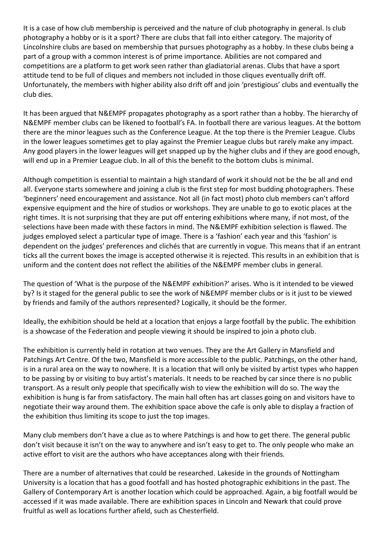It is a case of how club membership is perceived and the nature of club photography in general. Is club photography a hobby or is it a sport? There are clubs that fall into either category. The majority of Lincolnshire clubs are based on membership that pursues photography as a hobby. In these clubs being a part of a group with a common interest is of prime importance. Abilities are not compared and competitions are a platform to get work seen rather than gladiatorial arenas. Clubs that have a sport attitude tend to be full of cliques and members not included in those cliques eventually drift off. Unfortunately, the members with higher ability also drift off and join 'prestigious' clubs and eventually the club dies.

It has been argued that N&EMPF propagates photography as a sport rather than a hobby. The hierarchy of N&EMPF member clubs can be likened to football's FA. In football there are various leagues. At the bottom there are the minor leagues such as the Conference League. At the top there is the Premier League. Clubs in the lower leagues sometimes get to play against the Premier League clubs but rarely make any impact. Any good players in the lower leagues will get snapped up by the higher clubs and if they are good enough, will end up in a Premier League club. In all of this the benefit to the bottom clubs is minimal.

Although competition is essential to maintain a high standard of work it should not be the be all and end all. Everyone starts somewhere and joining a club is the first step for most budding photographers. These 'beginners' need encouragement and assistance. Not all (in fact most) photo club members can't afford expensive equipment and the hire of studios or workshops. They are unable to go to exotic places at the right times. It is not surprising that they are put off entering exhibitions where many, if not most, of the selections have been made with these factors in mind. The N&EMPF exhibition selection is flawed. The judges employed select a particular type of image. There is a 'fashion' each year and this 'fashion' is dependent on the judges' preferences and clichés that are currently in vogue. This means that if an entrant ticks all the current boxes the image is accepted otherwise it is rejected. This results in an exhibition that is uniform and the content does not reflect the abilities of the N&EMPF member clubs in general.

The question of 'What is the purpose of the N&EMPF exhibition?' arises. Who is it intended to be viewed by? Is it staged for the general public to see the work of N&EMPF member clubs or is it just to be viewed by friends and family of the authors represented? Logically, it should be the former.

Ideally, the exhibition should be held at a location that enjoys a large footfall by the public. The exhibition is a showcase of the Federation and people viewing it should be inspired to join a photo club.

The exhibition is currently held in rotation at two venues. They are the Art Gallery in Mansfield and Patchings Art Centre. Of the two, Mansfield is more accessible to the public. Patchings, on the other hand, is in a rural area on the way to nowhere. It is a location that will only be visited by artist types who happen to be passing by or visiting to buy artist's materials. It needs to be reached by car since there is no public transport. As a result only people that specifically wish to view the exhibition will do so. The way the exhibition is hung is far from satisfactory. The main hall often has art classes going on and visitors have to negotiate their way around them. The exhibition space above the cafe is only able to display a fraction of the exhibition thus limiting its scope to just the top images.

Many club members don't have a clue as to where Patchings is and how to get there. The general public don't visit because it isn't on the way to anywhere and isn't easy to get to. The only people who make an active effort to visit are the authors who have acceptances along with their friends.

There are a number of alternatives that could be researched. Lakeside in the grounds of Nottingham University is a location that has a good footfall and has hosted photographic exhibitions in the past. The Gallery of Contemporary Art is another location which could be approached. Again, a big footfall would be accessed if it was made available. There are exhibition spaces in Lincoln and Newark that could prove fruitful as well as locations further afield, such as Chesterfield.